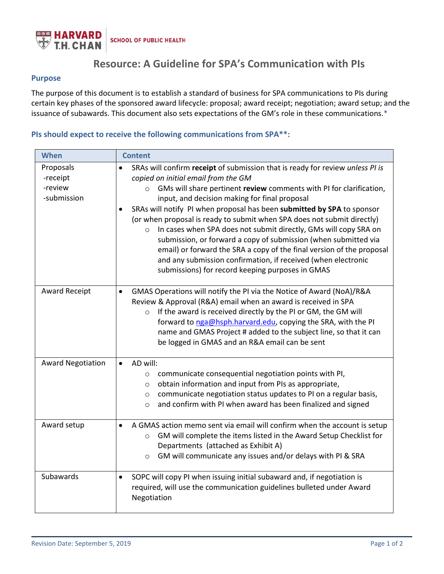

# **Resource: A Guideline for SPA's Communication with PIs**

## **Purpose**

The purpose of this document is to establish a standard of business for SPA communications to PIs during certain key phases of the sponsored award lifecycle: proposal; award receipt; negotiation; award setup; and the issuance of subawards. This document also sets expectations of the GM's role in these communications.\*

## **PIs should expect to receive the following communications from SPA\*\*:**

| When                                            | <b>Content</b>                                                                                                                                                                                                                                                                                                                                                                                                                                                                                                                                                                                                                                                                                                                                      |
|-------------------------------------------------|-----------------------------------------------------------------------------------------------------------------------------------------------------------------------------------------------------------------------------------------------------------------------------------------------------------------------------------------------------------------------------------------------------------------------------------------------------------------------------------------------------------------------------------------------------------------------------------------------------------------------------------------------------------------------------------------------------------------------------------------------------|
| Proposals<br>-receipt<br>-review<br>-submission | SRAs will confirm receipt of submission that is ready for review unless PI is<br>copied on initial email from the GM<br>GMs will share pertinent review comments with PI for clarification,<br>$\circ$<br>input, and decision making for final proposal<br>SRAs will notify PI when proposal has been submitted by SPA to sponsor<br>(or when proposal is ready to submit when SPA does not submit directly)<br>o In cases when SPA does not submit directly, GMs will copy SRA on<br>submission, or forward a copy of submission (when submitted via<br>email) or forward the SRA a copy of the final version of the proposal<br>and any submission confirmation, if received (when electronic<br>submissions) for record keeping purposes in GMAS |
| <b>Award Receipt</b>                            | GMAS Operations will notify the PI via the Notice of Award (NoA)/R&A<br>$\bullet$<br>Review & Approval (R&A) email when an award is received in SPA<br>If the award is received directly by the PI or GM, the GM will<br>$\circ$<br>forward to nga@hsph.harvard.edu, copying the SRA, with the PI<br>name and GMAS Project # added to the subject line, so that it can<br>be logged in GMAS and an R&A email can be sent                                                                                                                                                                                                                                                                                                                            |
| <b>Award Negotiation</b>                        | AD will:<br>$\bullet$<br>communicate consequential negotiation points with PI,<br>$\circ$<br>obtain information and input from PIs as appropriate,<br>$\circ$<br>communicate negotiation status updates to PI on a regular basis,<br>$\circ$<br>and confirm with PI when award has been finalized and signed<br>$\circ$                                                                                                                                                                                                                                                                                                                                                                                                                             |
| Award setup                                     | A GMAS action memo sent via email will confirm when the account is setup<br>GM will complete the items listed in the Award Setup Checklist for<br>$\circ$<br>Departments (attached as Exhibit A)<br>GM will communicate any issues and/or delays with PI & SRA<br>$\circ$                                                                                                                                                                                                                                                                                                                                                                                                                                                                           |
| Subawards                                       | SOPC will copy PI when issuing initial subaward and, if negotiation is<br>$\bullet$<br>required, will use the communication guidelines bulleted under Award<br>Negotiation                                                                                                                                                                                                                                                                                                                                                                                                                                                                                                                                                                          |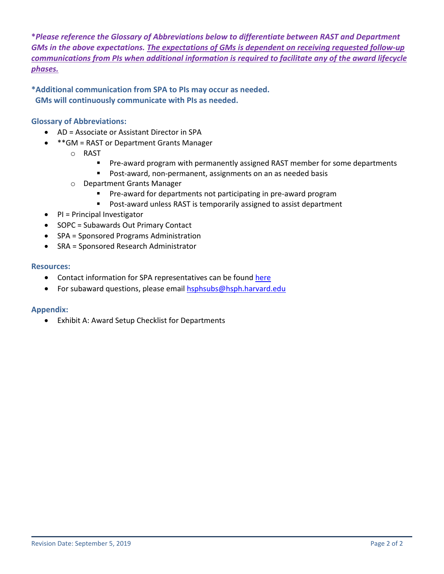**\****Please reference the Glossary of Abbreviations below to differentiate between RAST and Department GMs in the above expectations. The expectations of GMs is dependent on receiving requested follow-up communications from PIs when additional information is required to facilitate any of the award lifecycle phases.*

**\*Additional communication from SPA to PIs may occur as needed. GMs will continuously communicate with PIs as needed.**

## **Glossary of Abbreviations:**

- AD = Associate or Assistant Director in SPA
- \*\*GM = RAST or Department Grants Manager
	- o RAST
		- **Pre-award program with permanently assigned RAST member for some departments**
		- **Post-award, non-permanent, assignments on an as needed basis**
	- o Department Grants Manager
		- **Pre-award for departments not participating in pre-award program**
		- **Post-award unless RAST is temporarily assigned to assist department**
- PI = Principal Investigator
- SOPC = Subawards Out Primary Contact
- SPA = Sponsored Programs Administration
- SRA = Sponsored Research Administrator

## **Resources:**

- Contact information for SPA representatives can be found [here](https://hcsra.sph.harvard.edu/people)
- For subaward questions, please emai[l hsphsubs@hsph.harvard.edu](mailto:hsphsubs@hsph.harvard.edu)

## **Appendix:**

• Exhibit A: Award Setup Checklist for Departments